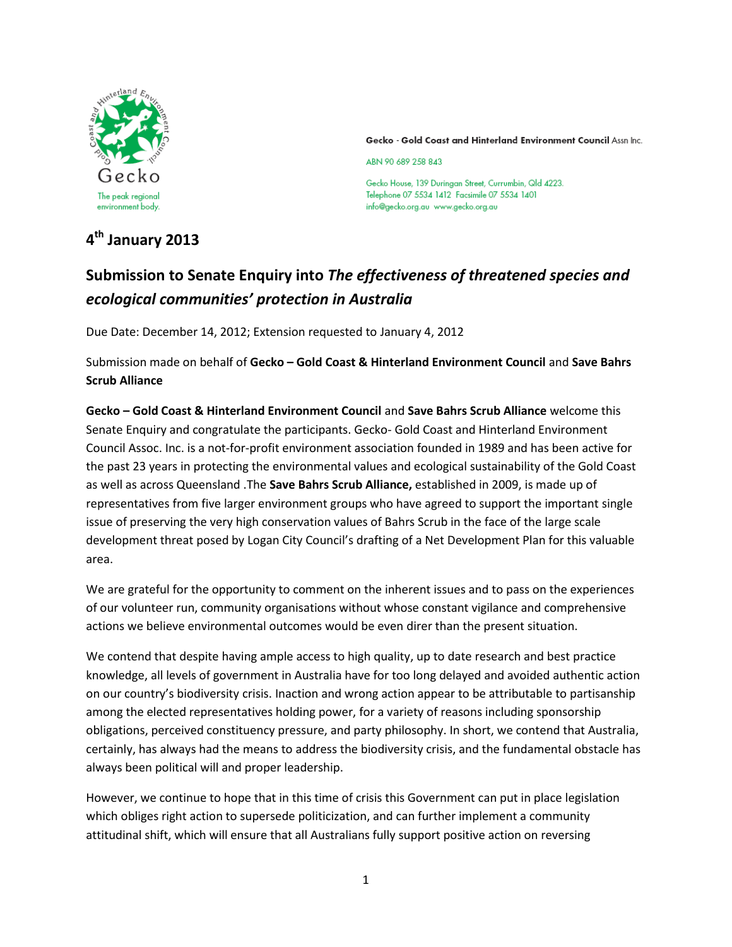

Gecko - Gold Coast and Hinterland Environment Council Assn Inc.

ABN 90 689 258 843

Gecko House, 139 Duringan Street, Currumbin, Qld 4223. Telephone 07 5534 1412 Facsimile 07 5534 1401 info@gecko.org.au www.gecko.org.au

# **4 th January 2013**

# **Submission to Senate Enquiry into** *The effectiveness of threatened species and ecological communities' protection in Australia*

Due Date: December 14, 2012; Extension requested to January 4, 2012

Submission made on behalf of **Gecko – Gold Coast & Hinterland Environment Council** and **Save Bahrs Scrub Alliance** 

**Gecko – Gold Coast & Hinterland Environment Council** and **Save Bahrs Scrub Alliance** welcome this Senate Enquiry and congratulate the participants. Gecko- Gold Coast and Hinterland Environment Council Assoc. Inc. is a not-for-profit environment association founded in 1989 and has been active for the past 23 years in protecting the environmental values and ecological sustainability of the Gold Coast as well as across Queensland .The **Save Bahrs Scrub Alliance,** established in 2009, is made up of representatives from five larger environment groups who have agreed to support the important single issue of preserving the very high conservation values of Bahrs Scrub in the face of the large scale development threat posed by Logan City Council's drafting of a Net Development Plan for this valuable area.

We are grateful for the opportunity to comment on the inherent issues and to pass on the experiences of our volunteer run, community organisations without whose constant vigilance and comprehensive actions we believe environmental outcomes would be even direr than the present situation.

We contend that despite having ample access to high quality, up to date research and best practice knowledge, all levels of government in Australia have for too long delayed and avoided authentic action on our country's biodiversity crisis. Inaction and wrong action appear to be attributable to partisanship among the elected representatives holding power, for a variety of reasons including sponsorship obligations, perceived constituency pressure, and party philosophy. In short, we contend that Australia, certainly, has always had the means to address the biodiversity crisis, and the fundamental obstacle has always been political will and proper leadership.

However, we continue to hope that in this time of crisis this Government can put in place legislation which obliges right action to supersede politicization, and can further implement a community attitudinal shift, which will ensure that all Australians fully support positive action on reversing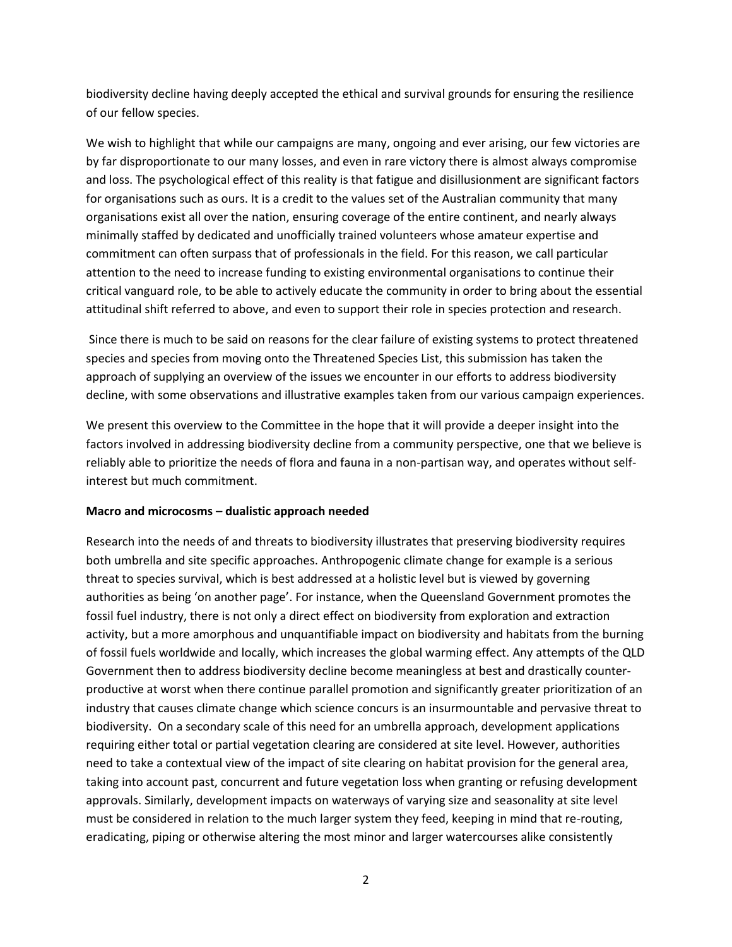biodiversity decline having deeply accepted the ethical and survival grounds for ensuring the resilience of our fellow species.

We wish to highlight that while our campaigns are many, ongoing and ever arising, our few victories are by far disproportionate to our many losses, and even in rare victory there is almost always compromise and loss. The psychological effect of this reality is that fatigue and disillusionment are significant factors for organisations such as ours. It is a credit to the values set of the Australian community that many organisations exist all over the nation, ensuring coverage of the entire continent, and nearly always minimally staffed by dedicated and unofficially trained volunteers whose amateur expertise and commitment can often surpass that of professionals in the field. For this reason, we call particular attention to the need to increase funding to existing environmental organisations to continue their critical vanguard role, to be able to actively educate the community in order to bring about the essential attitudinal shift referred to above, and even to support their role in species protection and research.

Since there is much to be said on reasons for the clear failure of existing systems to protect threatened species and species from moving onto the Threatened Species List, this submission has taken the approach of supplying an overview of the issues we encounter in our efforts to address biodiversity decline, with some observations and illustrative examples taken from our various campaign experiences.

We present this overview to the Committee in the hope that it will provide a deeper insight into the factors involved in addressing biodiversity decline from a community perspective, one that we believe is reliably able to prioritize the needs of flora and fauna in a non-partisan way, and operates without selfinterest but much commitment.

#### **Macro and microcosms – dualistic approach needed**

Research into the needs of and threats to biodiversity illustrates that preserving biodiversity requires both umbrella and site specific approaches. Anthropogenic climate change for example is a serious threat to species survival, which is best addressed at a holistic level but is viewed by governing authorities as being 'on another page'. For instance, when the Queensland Government promotes the fossil fuel industry, there is not only a direct effect on biodiversity from exploration and extraction activity, but a more amorphous and unquantifiable impact on biodiversity and habitats from the burning of fossil fuels worldwide and locally, which increases the global warming effect. Any attempts of the QLD Government then to address biodiversity decline become meaningless at best and drastically counterproductive at worst when there continue parallel promotion and significantly greater prioritization of an industry that causes climate change which science concurs is an insurmountable and pervasive threat to biodiversity. On a secondary scale of this need for an umbrella approach, development applications requiring either total or partial vegetation clearing are considered at site level. However, authorities need to take a contextual view of the impact of site clearing on habitat provision for the general area, taking into account past, concurrent and future vegetation loss when granting or refusing development approvals. Similarly, development impacts on waterways of varying size and seasonality at site level must be considered in relation to the much larger system they feed, keeping in mind that re-routing, eradicating, piping or otherwise altering the most minor and larger watercourses alike consistently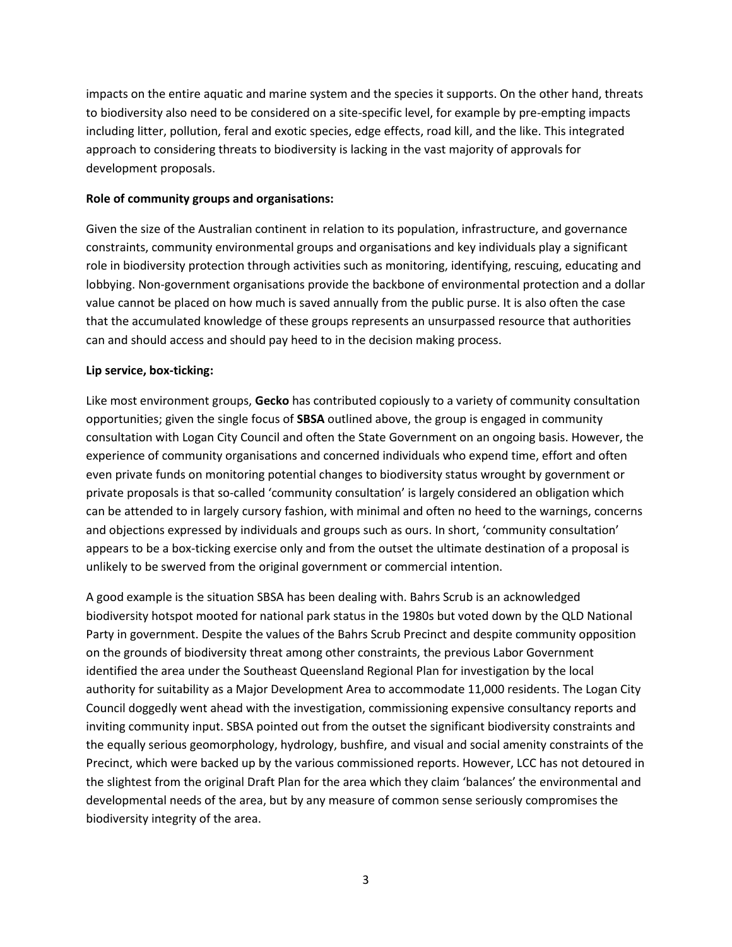impacts on the entire aquatic and marine system and the species it supports. On the other hand, threats to biodiversity also need to be considered on a site-specific level, for example by pre-empting impacts including litter, pollution, feral and exotic species, edge effects, road kill, and the like. This integrated approach to considering threats to biodiversity is lacking in the vast majority of approvals for development proposals.

#### **Role of community groups and organisations:**

Given the size of the Australian continent in relation to its population, infrastructure, and governance constraints, community environmental groups and organisations and key individuals play a significant role in biodiversity protection through activities such as monitoring, identifying, rescuing, educating and lobbying. Non-government organisations provide the backbone of environmental protection and a dollar value cannot be placed on how much is saved annually from the public purse. It is also often the case that the accumulated knowledge of these groups represents an unsurpassed resource that authorities can and should access and should pay heed to in the decision making process.

#### **Lip service, box-ticking:**

Like most environment groups, **Gecko** has contributed copiously to a variety of community consultation opportunities; given the single focus of **SBSA** outlined above, the group is engaged in community consultation with Logan City Council and often the State Government on an ongoing basis. However, the experience of community organisations and concerned individuals who expend time, effort and often even private funds on monitoring potential changes to biodiversity status wrought by government or private proposals is that so-called 'community consultation' is largely considered an obligation which can be attended to in largely cursory fashion, with minimal and often no heed to the warnings, concerns and objections expressed by individuals and groups such as ours. In short, 'community consultation' appears to be a box-ticking exercise only and from the outset the ultimate destination of a proposal is unlikely to be swerved from the original government or commercial intention.

A good example is the situation SBSA has been dealing with. Bahrs Scrub is an acknowledged biodiversity hotspot mooted for national park status in the 1980s but voted down by the QLD National Party in government. Despite the values of the Bahrs Scrub Precinct and despite community opposition on the grounds of biodiversity threat among other constraints, the previous Labor Government identified the area under the Southeast Queensland Regional Plan for investigation by the local authority for suitability as a Major Development Area to accommodate 11,000 residents. The Logan City Council doggedly went ahead with the investigation, commissioning expensive consultancy reports and inviting community input. SBSA pointed out from the outset the significant biodiversity constraints and the equally serious geomorphology, hydrology, bushfire, and visual and social amenity constraints of the Precinct, which were backed up by the various commissioned reports. However, LCC has not detoured in the slightest from the original Draft Plan for the area which they claim 'balances' the environmental and developmental needs of the area, but by any measure of common sense seriously compromises the biodiversity integrity of the area.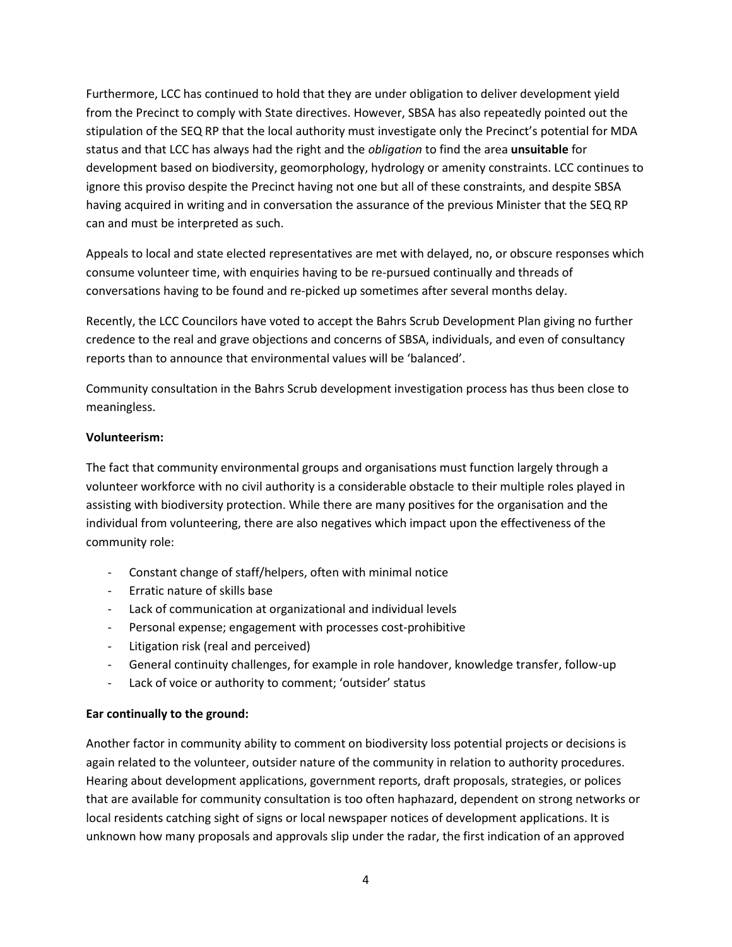Furthermore, LCC has continued to hold that they are under obligation to deliver development yield from the Precinct to comply with State directives. However, SBSA has also repeatedly pointed out the stipulation of the SEQ RP that the local authority must investigate only the Precinct's potential for MDA status and that LCC has always had the right and the *obligation* to find the area **unsuitable** for development based on biodiversity, geomorphology, hydrology or amenity constraints. LCC continues to ignore this proviso despite the Precinct having not one but all of these constraints, and despite SBSA having acquired in writing and in conversation the assurance of the previous Minister that the SEQ RP can and must be interpreted as such.

Appeals to local and state elected representatives are met with delayed, no, or obscure responses which consume volunteer time, with enquiries having to be re-pursued continually and threads of conversations having to be found and re-picked up sometimes after several months delay.

Recently, the LCC Councilors have voted to accept the Bahrs Scrub Development Plan giving no further credence to the real and grave objections and concerns of SBSA, individuals, and even of consultancy reports than to announce that environmental values will be 'balanced'.

Community consultation in the Bahrs Scrub development investigation process has thus been close to meaningless.

## **Volunteerism:**

The fact that community environmental groups and organisations must function largely through a volunteer workforce with no civil authority is a considerable obstacle to their multiple roles played in assisting with biodiversity protection. While there are many positives for the organisation and the individual from volunteering, there are also negatives which impact upon the effectiveness of the community role:

- Constant change of staff/helpers, often with minimal notice
- Erratic nature of skills base
- Lack of communication at organizational and individual levels
- Personal expense; engagement with processes cost-prohibitive
- Litigation risk (real and perceived)
- General continuity challenges, for example in role handover, knowledge transfer, follow-up
- Lack of voice or authority to comment; 'outsider' status

# **Ear continually to the ground:**

Another factor in community ability to comment on biodiversity loss potential projects or decisions is again related to the volunteer, outsider nature of the community in relation to authority procedures. Hearing about development applications, government reports, draft proposals, strategies, or polices that are available for community consultation is too often haphazard, dependent on strong networks or local residents catching sight of signs or local newspaper notices of development applications. It is unknown how many proposals and approvals slip under the radar, the first indication of an approved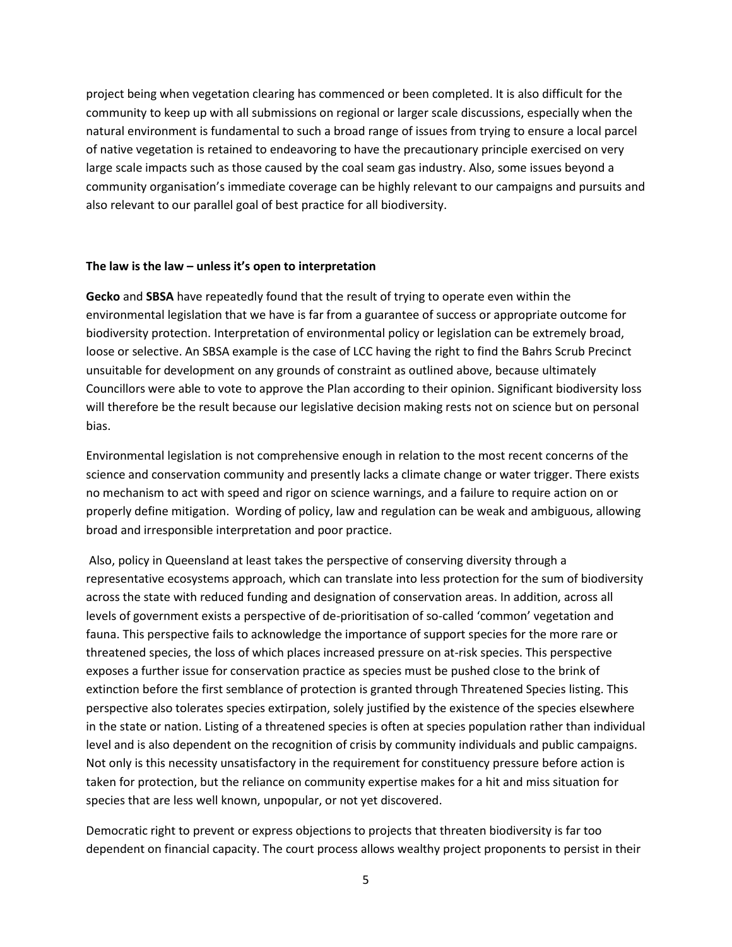project being when vegetation clearing has commenced or been completed. It is also difficult for the community to keep up with all submissions on regional or larger scale discussions, especially when the natural environment is fundamental to such a broad range of issues from trying to ensure a local parcel of native vegetation is retained to endeavoring to have the precautionary principle exercised on very large scale impacts such as those caused by the coal seam gas industry. Also, some issues beyond a community organisation's immediate coverage can be highly relevant to our campaigns and pursuits and also relevant to our parallel goal of best practice for all biodiversity.

#### **The law is the law – unless it's open to interpretation**

**Gecko** and **SBSA** have repeatedly found that the result of trying to operate even within the environmental legislation that we have is far from a guarantee of success or appropriate outcome for biodiversity protection. Interpretation of environmental policy or legislation can be extremely broad, loose or selective. An SBSA example is the case of LCC having the right to find the Bahrs Scrub Precinct unsuitable for development on any grounds of constraint as outlined above, because ultimately Councillors were able to vote to approve the Plan according to their opinion. Significant biodiversity loss will therefore be the result because our legislative decision making rests not on science but on personal bias.

Environmental legislation is not comprehensive enough in relation to the most recent concerns of the science and conservation community and presently lacks a climate change or water trigger. There exists no mechanism to act with speed and rigor on science warnings, and a failure to require action on or properly define mitigation. Wording of policy, law and regulation can be weak and ambiguous, allowing broad and irresponsible interpretation and poor practice.

Also, policy in Queensland at least takes the perspective of conserving diversity through a representative ecosystems approach, which can translate into less protection for the sum of biodiversity across the state with reduced funding and designation of conservation areas. In addition, across all levels of government exists a perspective of de-prioritisation of so-called 'common' vegetation and fauna. This perspective fails to acknowledge the importance of support species for the more rare or threatened species, the loss of which places increased pressure on at-risk species. This perspective exposes a further issue for conservation practice as species must be pushed close to the brink of extinction before the first semblance of protection is granted through Threatened Species listing. This perspective also tolerates species extirpation, solely justified by the existence of the species elsewhere in the state or nation. Listing of a threatened species is often at species population rather than individual level and is also dependent on the recognition of crisis by community individuals and public campaigns. Not only is this necessity unsatisfactory in the requirement for constituency pressure before action is taken for protection, but the reliance on community expertise makes for a hit and miss situation for species that are less well known, unpopular, or not yet discovered.

Democratic right to prevent or express objections to projects that threaten biodiversity is far too dependent on financial capacity. The court process allows wealthy project proponents to persist in their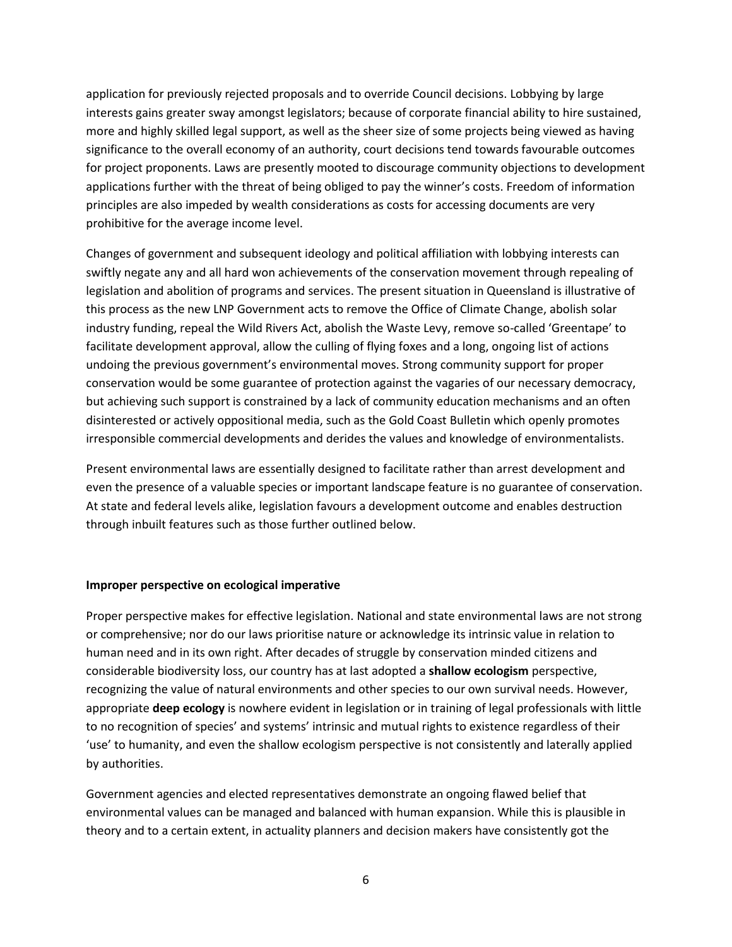application for previously rejected proposals and to override Council decisions. Lobbying by large interests gains greater sway amongst legislators; because of corporate financial ability to hire sustained, more and highly skilled legal support, as well as the sheer size of some projects being viewed as having significance to the overall economy of an authority, court decisions tend towards favourable outcomes for project proponents. Laws are presently mooted to discourage community objections to development applications further with the threat of being obliged to pay the winner's costs. Freedom of information principles are also impeded by wealth considerations as costs for accessing documents are very prohibitive for the average income level.

Changes of government and subsequent ideology and political affiliation with lobbying interests can swiftly negate any and all hard won achievements of the conservation movement through repealing of legislation and abolition of programs and services. The present situation in Queensland is illustrative of this process as the new LNP Government acts to remove the Office of Climate Change, abolish solar industry funding, repeal the Wild Rivers Act, abolish the Waste Levy, remove so-called 'Greentape' to facilitate development approval, allow the culling of flying foxes and a long, ongoing list of actions undoing the previous government's environmental moves. Strong community support for proper conservation would be some guarantee of protection against the vagaries of our necessary democracy, but achieving such support is constrained by a lack of community education mechanisms and an often disinterested or actively oppositional media, such as the Gold Coast Bulletin which openly promotes irresponsible commercial developments and derides the values and knowledge of environmentalists.

Present environmental laws are essentially designed to facilitate rather than arrest development and even the presence of a valuable species or important landscape feature is no guarantee of conservation. At state and federal levels alike, legislation favours a development outcome and enables destruction through inbuilt features such as those further outlined below.

#### **Improper perspective on ecological imperative**

Proper perspective makes for effective legislation. National and state environmental laws are not strong or comprehensive; nor do our laws prioritise nature or acknowledge its intrinsic value in relation to human need and in its own right. After decades of struggle by conservation minded citizens and considerable biodiversity loss, our country has at last adopted a **shallow ecologism** perspective, recognizing the value of natural environments and other species to our own survival needs. However, appropriate **deep ecology** is nowhere evident in legislation or in training of legal professionals with little to no recognition of species' and systems' intrinsic and mutual rights to existence regardless of their 'use' to humanity, and even the shallow ecologism perspective is not consistently and laterally applied by authorities.

Government agencies and elected representatives demonstrate an ongoing flawed belief that environmental values can be managed and balanced with human expansion. While this is plausible in theory and to a certain extent, in actuality planners and decision makers have consistently got the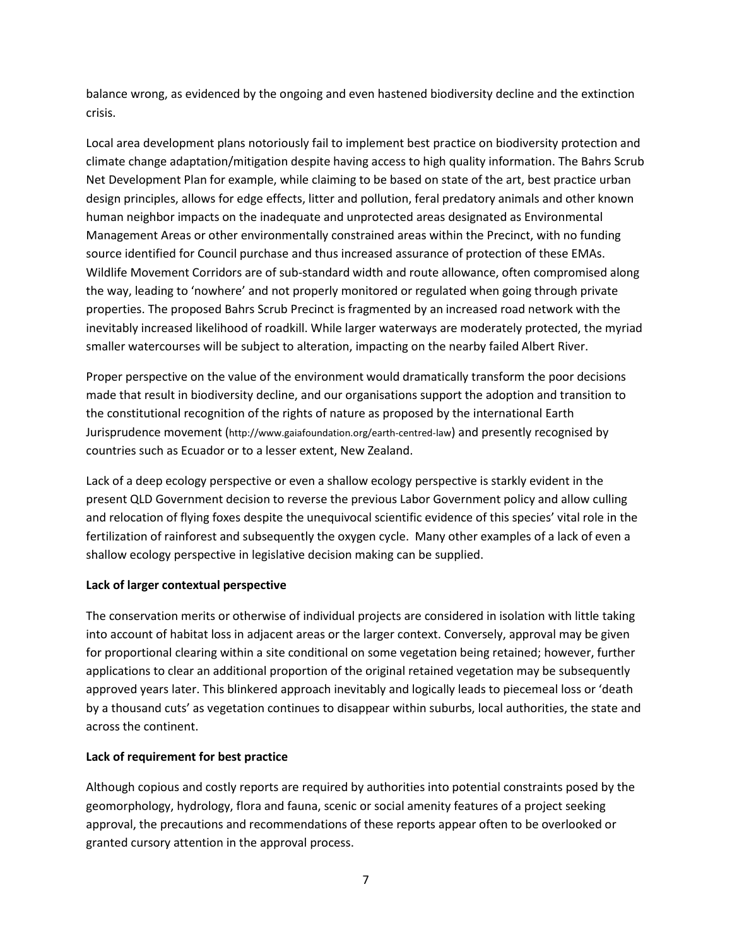balance wrong, as evidenced by the ongoing and even hastened biodiversity decline and the extinction crisis.

Local area development plans notoriously fail to implement best practice on biodiversity protection and climate change adaptation/mitigation despite having access to high quality information. The Bahrs Scrub Net Development Plan for example, while claiming to be based on state of the art, best practice urban design principles, allows for edge effects, litter and pollution, feral predatory animals and other known human neighbor impacts on the inadequate and unprotected areas designated as Environmental Management Areas or other environmentally constrained areas within the Precinct, with no funding source identified for Council purchase and thus increased assurance of protection of these EMAs. Wildlife Movement Corridors are of sub-standard width and route allowance, often compromised along the way, leading to 'nowhere' and not properly monitored or regulated when going through private properties. The proposed Bahrs Scrub Precinct is fragmented by an increased road network with the inevitably increased likelihood of roadkill. While larger waterways are moderately protected, the myriad smaller watercourses will be subject to alteration, impacting on the nearby failed Albert River.

Proper perspective on the value of the environment would dramatically transform the poor decisions made that result in biodiversity decline, and our organisations support the adoption and transition to the constitutional recognition of the rights of nature as proposed by the international Earth Jurisprudence movement (http://www.gaiafoundation.org/earth-centred-law) and presently recognised by countries such as Ecuador or to a lesser extent, New Zealand.

Lack of a deep ecology perspective or even a shallow ecology perspective is starkly evident in the present QLD Government decision to reverse the previous Labor Government policy and allow culling and relocation of flying foxes despite the unequivocal scientific evidence of this species' vital role in the fertilization of rainforest and subsequently the oxygen cycle. Many other examples of a lack of even a shallow ecology perspective in legislative decision making can be supplied.

## **Lack of larger contextual perspective**

The conservation merits or otherwise of individual projects are considered in isolation with little taking into account of habitat loss in adjacent areas or the larger context. Conversely, approval may be given for proportional clearing within a site conditional on some vegetation being retained; however, further applications to clear an additional proportion of the original retained vegetation may be subsequently approved years later. This blinkered approach inevitably and logically leads to piecemeal loss or 'death by a thousand cuts' as vegetation continues to disappear within suburbs, local authorities, the state and across the continent.

## **Lack of requirement for best practice**

Although copious and costly reports are required by authorities into potential constraints posed by the geomorphology, hydrology, flora and fauna, scenic or social amenity features of a project seeking approval, the precautions and recommendations of these reports appear often to be overlooked or granted cursory attention in the approval process.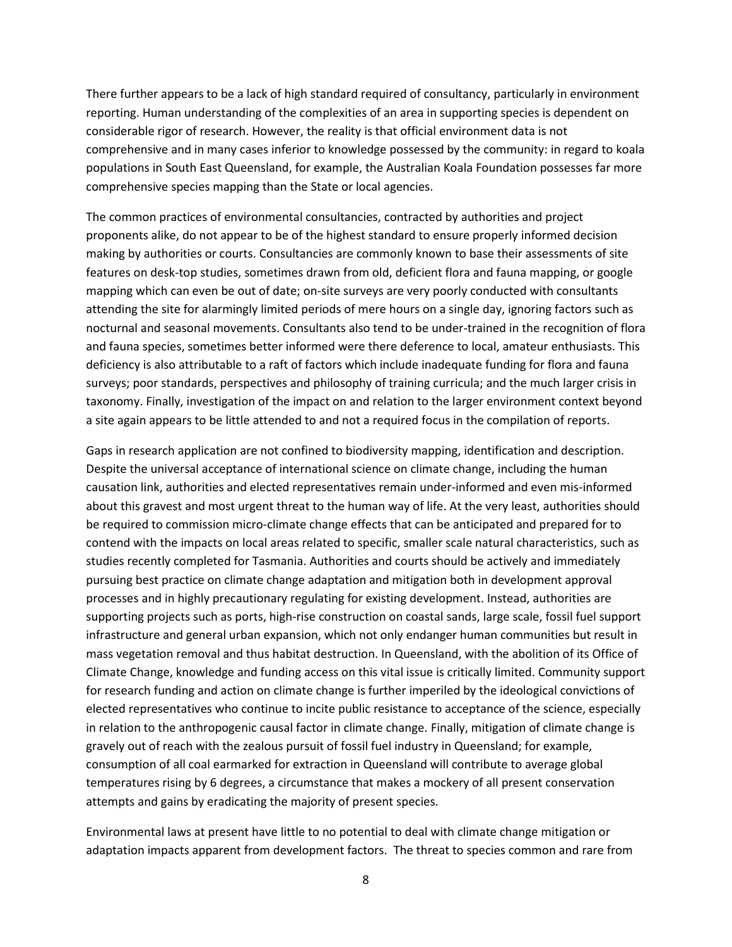There further appears to be a lack of high standard required of consultancy, particularly in environment reporting. Human understanding of the complexities of an area in supporting species is dependent on considerable rigor of research. However, the reality is that official environment data is not comprehensive and in many cases inferior to knowledge possessed by the community: in regard to koala populations in South East Queensland, for example, the Australian Koala Foundation possesses far more comprehensive species mapping than the State or local agencies.

The common practices of environmental consultancies, contracted by authorities and project proponents alike, do not appear to be of the highest standard to ensure properly informed decision making by authorities or courts. Consultancies are commonly known to base their assessments of site features on desk-top studies, sometimes drawn from old, deficient flora and fauna mapping, or google mapping which can even be out of date; on-site surveys are very poorly conducted with consultants attending the site for alarmingly limited periods of mere hours on a single day, ignoring factors such as nocturnal and seasonal movements. Consultants also tend to be under-trained in the recognition of flora and fauna species, sometimes better informed were there deference to local, amateur enthusiasts. This deficiency is also attributable to a raft of factors which include inadequate funding for flora and fauna surveys; poor standards, perspectives and philosophy of training curricula; and the much larger crisis in taxonomy. Finally, investigation of the impact on and relation to the larger environment context beyond a site again appears to be little attended to and not a required focus in the compilation of reports.

Gaps in research application are not confined to biodiversity mapping, identification and description. Despite the universal acceptance of international science on climate change, including the human causation link, authorities and elected representatives remain under-informed and even mis-informed about this gravest and most urgent threat to the human way of life. At the very least, authorities should be required to commission micro-climate change effects that can be anticipated and prepared for to contend with the impacts on local areas related to specific, smaller scale natural characteristics, such as studies recently completed for Tasmania. Authorities and courts should be actively and immediately pursuing best practice on climate change adaptation and mitigation both in development approval processes and in highly precautionary regulating for existing development. Instead, authorities are supporting projects such as ports, high-rise construction on coastal sands, large scale, fossil fuel support infrastructure and general urban expansion, which not only endanger human communities but result in mass vegetation removal and thus habitat destruction. In Queensland, with the abolition of its Office of Climate Change, knowledge and funding access on this vital issue is critically limited. Community support for research funding and action on climate change is further imperiled by the ideological convictions of elected representatives who continue to incite public resistance to acceptance of the science, especially in relation to the anthropogenic causal factor in climate change. Finally, mitigation of climate change is gravely out of reach with the zealous pursuit of fossil fuel industry in Queensland; for example, consumption of all coal earmarked for extraction in Queensland will contribute to average global temperatures rising by 6 degrees, a circumstance that makes a mockery of all present conservation attempts and gains by eradicating the majority of present species.

Environmental laws at present have little to no potential to deal with climate change mitigation or adaptation impacts apparent from development factors. The threat to species common and rare from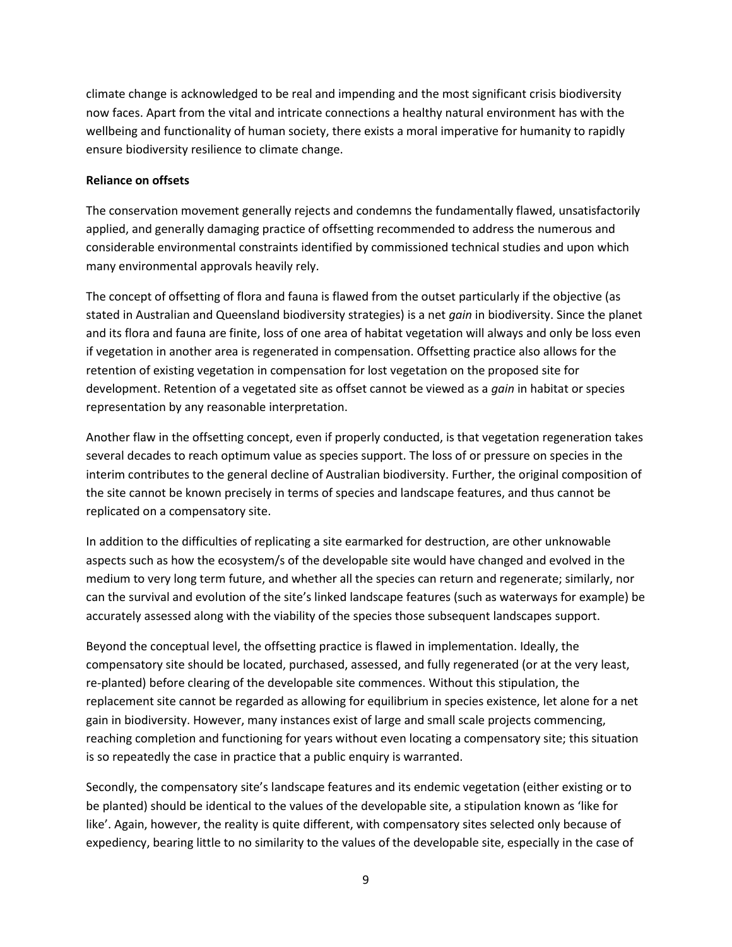climate change is acknowledged to be real and impending and the most significant crisis biodiversity now faces. Apart from the vital and intricate connections a healthy natural environment has with the wellbeing and functionality of human society, there exists a moral imperative for humanity to rapidly ensure biodiversity resilience to climate change.

### **Reliance on offsets**

The conservation movement generally rejects and condemns the fundamentally flawed, unsatisfactorily applied, and generally damaging practice of offsetting recommended to address the numerous and considerable environmental constraints identified by commissioned technical studies and upon which many environmental approvals heavily rely.

The concept of offsetting of flora and fauna is flawed from the outset particularly if the objective (as stated in Australian and Queensland biodiversity strategies) is a net *gain* in biodiversity. Since the planet and its flora and fauna are finite, loss of one area of habitat vegetation will always and only be loss even if vegetation in another area is regenerated in compensation. Offsetting practice also allows for the retention of existing vegetation in compensation for lost vegetation on the proposed site for development. Retention of a vegetated site as offset cannot be viewed as a *gain* in habitat or species representation by any reasonable interpretation.

Another flaw in the offsetting concept, even if properly conducted, is that vegetation regeneration takes several decades to reach optimum value as species support. The loss of or pressure on species in the interim contributes to the general decline of Australian biodiversity. Further, the original composition of the site cannot be known precisely in terms of species and landscape features, and thus cannot be replicated on a compensatory site.

In addition to the difficulties of replicating a site earmarked for destruction, are other unknowable aspects such as how the ecosystem/s of the developable site would have changed and evolved in the medium to very long term future, and whether all the species can return and regenerate; similarly, nor can the survival and evolution of the site's linked landscape features (such as waterways for example) be accurately assessed along with the viability of the species those subsequent landscapes support.

Beyond the conceptual level, the offsetting practice is flawed in implementation. Ideally, the compensatory site should be located, purchased, assessed, and fully regenerated (or at the very least, re-planted) before clearing of the developable site commences. Without this stipulation, the replacement site cannot be regarded as allowing for equilibrium in species existence, let alone for a net gain in biodiversity. However, many instances exist of large and small scale projects commencing, reaching completion and functioning for years without even locating a compensatory site; this situation is so repeatedly the case in practice that a public enquiry is warranted.

Secondly, the compensatory site's landscape features and its endemic vegetation (either existing or to be planted) should be identical to the values of the developable site, a stipulation known as 'like for like'. Again, however, the reality is quite different, with compensatory sites selected only because of expediency, bearing little to no similarity to the values of the developable site, especially in the case of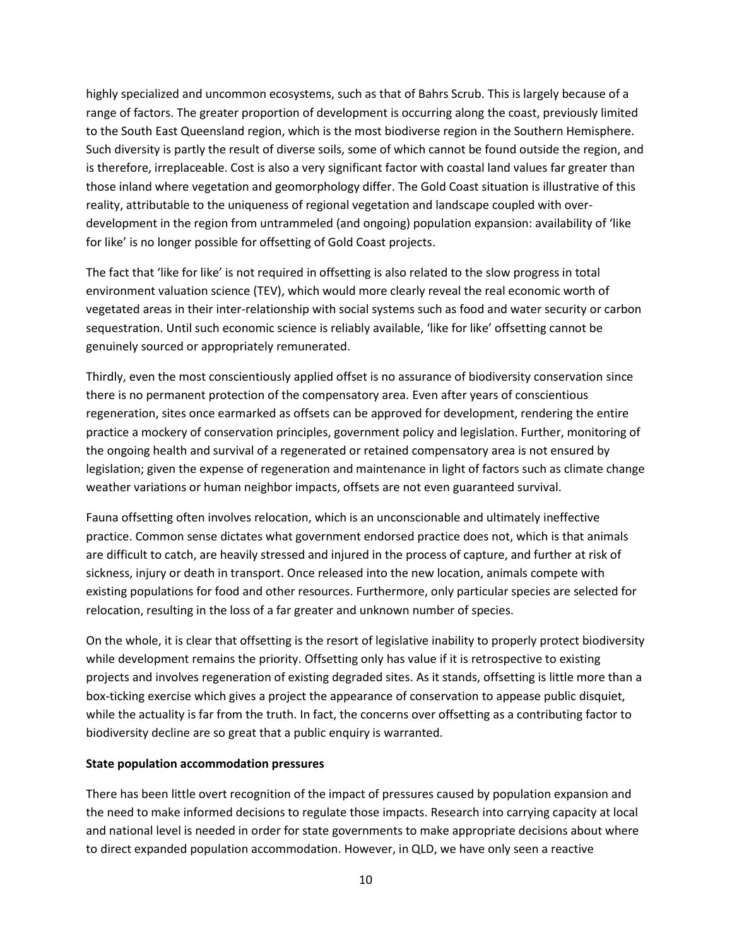highly specialized and uncommon ecosystems, such as that of Bahrs Scrub. This is largely because of a range of factors. The greater proportion of development is occurring along the coast, previously limited to the South East Queensland region, which is the most biodiverse region in the Southern Hemisphere. Such diversity is partly the result of diverse soils, some of which cannot be found outside the region, and is therefore, irreplaceable. Cost is also a very significant factor with coastal land values far greater than those inland where vegetation and geomorphology differ. The Gold Coast situation is illustrative of this reality, attributable to the uniqueness of regional vegetation and landscape coupled with overdevelopment in the region from untrammeled (and ongoing) population expansion: availability of 'like for like' is no longer possible for offsetting of Gold Coast projects.

The fact that 'like for like' is not required in offsetting is also related to the slow progress in total environment valuation science (TEV), which would more clearly reveal the real economic worth of vegetated areas in their inter-relationship with social systems such as food and water security or carbon sequestration. Until such economic science is reliably available, 'like for like' offsetting cannot be genuinely sourced or appropriately remunerated.

Thirdly, even the most conscientiously applied offset is no assurance of biodiversity conservation since there is no permanent protection of the compensatory area. Even after years of conscientious regeneration, sites once earmarked as offsets can be approved for development, rendering the entire practice a mockery of conservation principles, government policy and legislation. Further, monitoring of the ongoing health and survival of a regenerated or retained compensatory area is not ensured by legislation; given the expense of regeneration and maintenance in light of factors such as climate change weather variations or human neighbor impacts, offsets are not even guaranteed survival.

Fauna offsetting often involves relocation, which is an unconscionable and ultimately ineffective practice. Common sense dictates what government endorsed practice does not, which is that animals are difficult to catch, are heavily stressed and injured in the process of capture, and further at risk of sickness, injury or death in transport. Once released into the new location, animals compete with existing populations for food and other resources. Furthermore, only particular species are selected for relocation, resulting in the loss of a far greater and unknown number of species.

On the whole, it is clear that offsetting is the resort of legislative inability to properly protect biodiversity while development remains the priority. Offsetting only has value if it is retrospective to existing projects and involves regeneration of existing degraded sites. As it stands, offsetting is little more than a box-ticking exercise which gives a project the appearance of conservation to appease public disquiet, while the actuality is far from the truth. In fact, the concerns over offsetting as a contributing factor to biodiversity decline are so great that a public enquiry is warranted.

#### **State population accommodation pressures**

There has been little overt recognition of the impact of pressures caused by population expansion and the need to make informed decisions to regulate those impacts. Research into carrying capacity at local and national level is needed in order for state governments to make appropriate decisions about where to direct expanded population accommodation. However, in QLD, we have only seen a reactive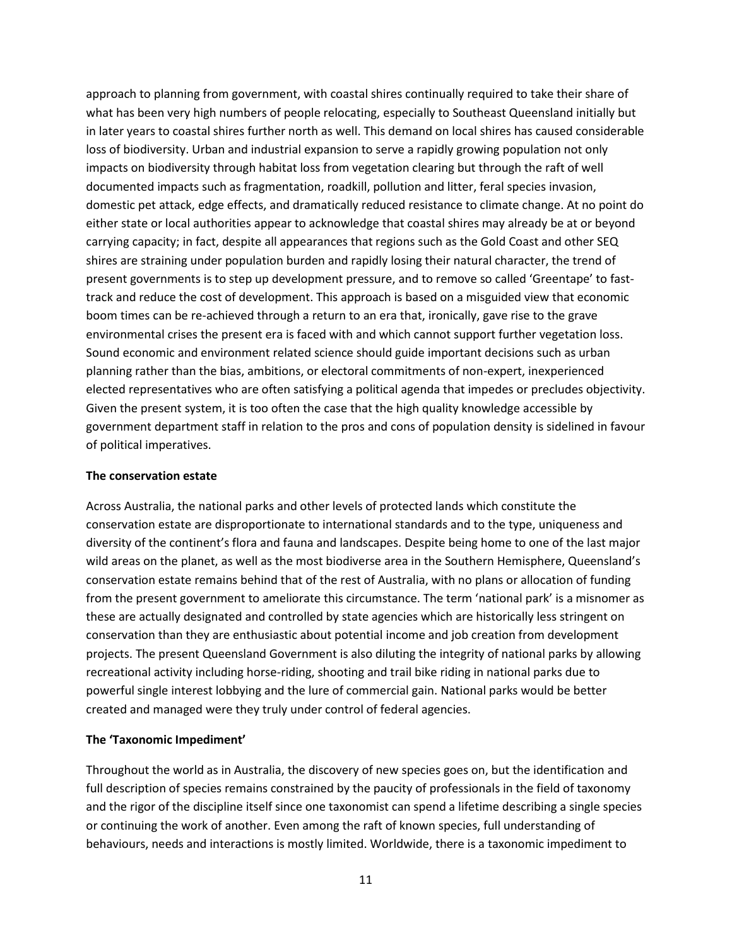approach to planning from government, with coastal shires continually required to take their share of what has been very high numbers of people relocating, especially to Southeast Queensland initially but in later years to coastal shires further north as well. This demand on local shires has caused considerable loss of biodiversity. Urban and industrial expansion to serve a rapidly growing population not only impacts on biodiversity through habitat loss from vegetation clearing but through the raft of well documented impacts such as fragmentation, roadkill, pollution and litter, feral species invasion, domestic pet attack, edge effects, and dramatically reduced resistance to climate change. At no point do either state or local authorities appear to acknowledge that coastal shires may already be at or beyond carrying capacity; in fact, despite all appearances that regions such as the Gold Coast and other SEQ shires are straining under population burden and rapidly losing their natural character, the trend of present governments is to step up development pressure, and to remove so called 'Greentape' to fasttrack and reduce the cost of development. This approach is based on a misguided view that economic boom times can be re-achieved through a return to an era that, ironically, gave rise to the grave environmental crises the present era is faced with and which cannot support further vegetation loss. Sound economic and environment related science should guide important decisions such as urban planning rather than the bias, ambitions, or electoral commitments of non-expert, inexperienced elected representatives who are often satisfying a political agenda that impedes or precludes objectivity. Given the present system, it is too often the case that the high quality knowledge accessible by government department staff in relation to the pros and cons of population density is sidelined in favour of political imperatives.

#### **The conservation estate**

Across Australia, the national parks and other levels of protected lands which constitute the conservation estate are disproportionate to international standards and to the type, uniqueness and diversity of the continent's flora and fauna and landscapes. Despite being home to one of the last major wild areas on the planet, as well as the most biodiverse area in the Southern Hemisphere, Queensland's conservation estate remains behind that of the rest of Australia, with no plans or allocation of funding from the present government to ameliorate this circumstance. The term 'national park' is a misnomer as these are actually designated and controlled by state agencies which are historically less stringent on conservation than they are enthusiastic about potential income and job creation from development projects. The present Queensland Government is also diluting the integrity of national parks by allowing recreational activity including horse-riding, shooting and trail bike riding in national parks due to powerful single interest lobbying and the lure of commercial gain. National parks would be better created and managed were they truly under control of federal agencies.

## **The 'Taxonomic Impediment'**

Throughout the world as in Australia, the discovery of new species goes on, but the identification and full description of species remains constrained by the paucity of professionals in the field of taxonomy and the rigor of the discipline itself since one taxonomist can spend a lifetime describing a single species or continuing the work of another. Even among the raft of known species, full understanding of behaviours, needs and interactions is mostly limited. Worldwide, there is a taxonomic impediment to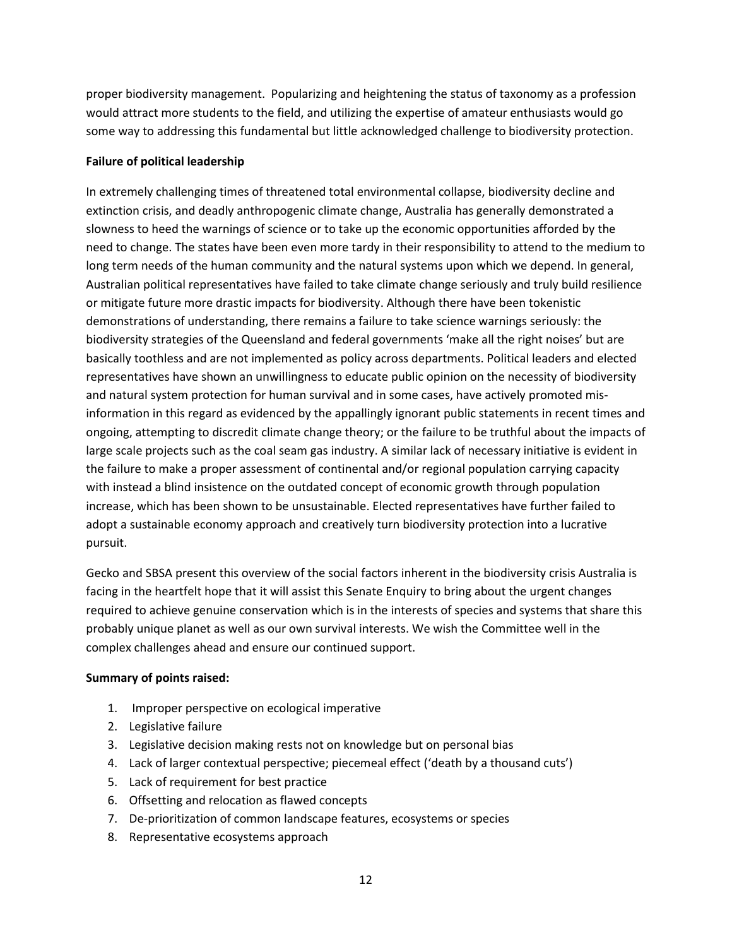proper biodiversity management. Popularizing and heightening the status of taxonomy as a profession would attract more students to the field, and utilizing the expertise of amateur enthusiasts would go some way to addressing this fundamental but little acknowledged challenge to biodiversity protection.

## **Failure of political leadership**

In extremely challenging times of threatened total environmental collapse, biodiversity decline and extinction crisis, and deadly anthropogenic climate change, Australia has generally demonstrated a slowness to heed the warnings of science or to take up the economic opportunities afforded by the need to change. The states have been even more tardy in their responsibility to attend to the medium to long term needs of the human community and the natural systems upon which we depend. In general, Australian political representatives have failed to take climate change seriously and truly build resilience or mitigate future more drastic impacts for biodiversity. Although there have been tokenistic demonstrations of understanding, there remains a failure to take science warnings seriously: the biodiversity strategies of the Queensland and federal governments 'make all the right noises' but are basically toothless and are not implemented as policy across departments. Political leaders and elected representatives have shown an unwillingness to educate public opinion on the necessity of biodiversity and natural system protection for human survival and in some cases, have actively promoted misinformation in this regard as evidenced by the appallingly ignorant public statements in recent times and ongoing, attempting to discredit climate change theory; or the failure to be truthful about the impacts of large scale projects such as the coal seam gas industry. A similar lack of necessary initiative is evident in the failure to make a proper assessment of continental and/or regional population carrying capacity with instead a blind insistence on the outdated concept of economic growth through population increase, which has been shown to be unsustainable. Elected representatives have further failed to adopt a sustainable economy approach and creatively turn biodiversity protection into a lucrative pursuit.

Gecko and SBSA present this overview of the social factors inherent in the biodiversity crisis Australia is facing in the heartfelt hope that it will assist this Senate Enquiry to bring about the urgent changes required to achieve genuine conservation which is in the interests of species and systems that share this probably unique planet as well as our own survival interests. We wish the Committee well in the complex challenges ahead and ensure our continued support.

## **Summary of points raised:**

- 1. Improper perspective on ecological imperative
- 2. Legislative failure
- 3. Legislative decision making rests not on knowledge but on personal bias
- 4. Lack of larger contextual perspective; piecemeal effect ('death by a thousand cuts')
- 5. Lack of requirement for best practice
- 6. Offsetting and relocation as flawed concepts
- 7. De-prioritization of common landscape features, ecosystems or species
- 8. Representative ecosystems approach